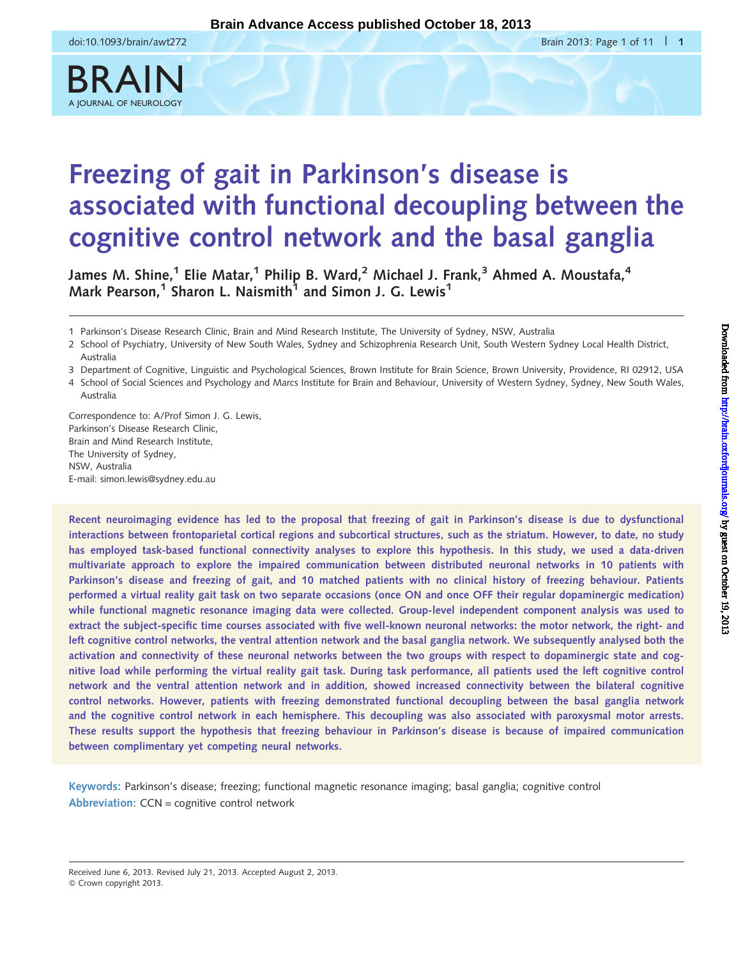BRAIN





James M. Shine,<sup>1</sup> Elie Matar,<sup>1</sup> Philip B. Ward,<sup>2</sup> Michael J. Frank,<sup>3</sup> Ahmed A. Moustafa,<sup>4</sup> Mark Pearson.<sup>1</sup> Sharon L. Naismith<sup>1</sup> and Simon J. G. Lewis<sup>1</sup>

1 Parkinson's Disease Research Clinic, Brain and Mind Research Institute, The University of Sydney, NSW, Australia

2 School of Psychiatry, University of New South Wales, Sydney and Schizophrenia Research Unit, South Western Sydney Local Health District, Australia

3 Department of Cognitive, Linguistic and Psychological Sciences, Brown Institute for Brain Science, Brown University, Providence, RI 02912, USA

4 School of Social Sciences and Psychology and Marcs Institute for Brain and Behaviour, University of Western Sydney, Sydney, New South Wales, Australia

Correspondence to: A/Prof Simon J. G. Lewis, Parkinson's Disease Research Clinic, Brain and Mind Research Institute, The University of Sydney, NSW, Australia E-mail: simon.lewis@sydney.edu.au

Recent neuroimaging evidence has led to the proposal that freezing of gait in Parkinson's disease is due to dysfunctional interactions between frontoparietal cortical regions and subcortical structures, such as the striatum. However, to date, no study has employed task-based functional connectivity analyses to explore this hypothesis. In this study, we used a data-driven multivariate approach to explore the impaired communication between distributed neuronal networks in 10 patients with Parkinson's disease and freezing of gait, and 10 matched patients with no clinical history of freezing behaviour. Patients performed a virtual reality gait task on two separate occasions (once ON and once OFF their regular dopaminergic medication) while functional magnetic resonance imaging data were collected. Group-level independent component analysis was used to extract the subject-specific time courses associated with five well-known neuronal networks: the motor network, the right- and left cognitive control networks, the ventral attention network and the basal ganglia network. We subsequently analysed both the activation and connectivity of these neuronal networks between the two groups with respect to dopaminergic state and cognitive load while performing the virtual reality gait task. During task performance, all patients used the left cognitive control network and the ventral attention network and in addition, showed increased connectivity between the bilateral cognitive control networks. However, patients with freezing demonstrated functional decoupling between the basal ganglia network and the cognitive control network in each hemisphere. This decoupling was also associated with paroxysmal motor arrests. These results support the hypothesis that freezing behaviour in Parkinson's disease is because of impaired communication between complimentary yet competing neural networks.

Keywords: Parkinson's disease; freezing; functional magnetic resonance imaging; basal ganglia; cognitive control Abbreviation: CCN = cognitive control network

Received June 6, 2013. Revised July 21, 2013. Accepted August 2, 2013.

© Crown copyright 2013.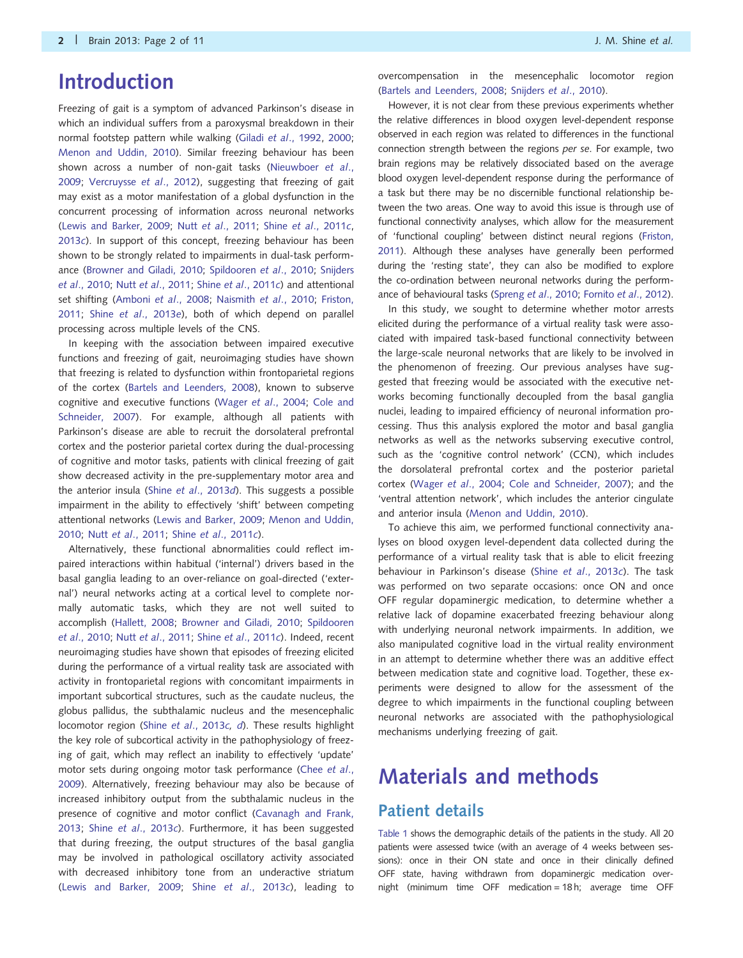## Introduction

Freezing of gait is a symptom of advanced Parkinson's disease in which an individual suffers from a paroxysmal breakdown in their normal footstep pattern while walking (Giladi et al[., 1992](#page-10-0), [2000;](#page-10-0) [Menon and Uddin, 2010\)](#page-10-0). Similar freezing behaviour has been shown across a number of non-gait tasks [\(Nieuwboer](#page-10-0) et al., [2009;](#page-10-0) [Vercruysse](#page-10-0) et al., 2012), suggesting that freezing of gait may exist as a motor manifestation of a global dysfunction in the concurrent processing of information across neuronal networks [\(Lewis and Barker, 2009](#page-10-0); Nutt et al[., 2011;](#page-10-0) Shine et al[., 2011](#page-10-0)c, [2013](#page-10-0)c). In support of this concept, freezing behaviour has been shown to be strongly related to impairments in dual-task performance [\(Browner and Giladi, 2010](#page-9-0); [Spildooren](#page-10-0) et al., 2010; [Snijders](#page-10-0) et al[., 2010;](#page-10-0) Nutt et al[., 2011;](#page-10-0) Shine et al[., 2011](#page-10-0)c) and attentional set shifting ([Amboni](#page-9-0) et al., 2008; [Naismith](#page-10-0) et al., 2010; [Friston,](#page-10-0) [2011;](#page-10-0) Shine et al[., 2013](#page-10-0)e), both of which depend on parallel processing across multiple levels of the CNS.

In keeping with the association between impaired executive functions and freezing of gait, neuroimaging studies have shown that freezing is related to dysfunction within frontoparietal regions of the cortex ([Bartels and Leenders, 2008](#page-9-0)), known to subserve cognitive and executive functions (Wager et al[., 2004](#page-10-0); [Cole and](#page-9-0) [Schneider, 2007](#page-9-0)). For example, although all patients with Parkinson's disease are able to recruit the dorsolateral prefrontal cortex and the posterior parietal cortex during the dual-processing of cognitive and motor tasks, patients with clinical freezing of gait show decreased activity in the pre-supplementary motor area and the anterior insula (Shine et al[., 2013](#page-10-0)d). This suggests a possible impairment in the ability to effectively 'shift' between competing attentional networks [\(Lewis and Barker, 2009](#page-10-0); [Menon and Uddin,](#page-10-0) [2010;](#page-10-0) Nutt et al[., 2011](#page-10-0); Shine et al[., 2011](#page-10-0)c).

Alternatively, these functional abnormalities could reflect impaired interactions within habitual ('internal') drivers based in the basal ganglia leading to an over-reliance on goal-directed ('external') neural networks acting at a cortical level to complete normally automatic tasks, which they are not well suited to accomplish ([Hallett, 2008;](#page-10-0) [Browner and Giladi, 2010](#page-9-0); [Spildooren](#page-10-0) et al[., 2010;](#page-10-0) Nutt et al[., 2011;](#page-10-0) Shine et al[., 2011](#page-10-0)c). Indeed, recent neuroimaging studies have shown that episodes of freezing elicited during the performance of a virtual reality task are associated with activity in frontoparietal regions with concomitant impairments in important subcortical structures, such as the caudate nucleus, the globus pallidus, the subthalamic nucleus and the mesencephalic locomotor region (Shine et al[., 2013](#page-10-0)c, [d](#page-10-0)). These results highlight the key role of subcortical activity in the pathophysiology of freezing of gait, which may reflect an inability to effectively 'update' motor sets during ongoing motor task performance ([Chee](#page-9-0) et al., [2009\)](#page-9-0). Alternatively, freezing behaviour may also be because of increased inhibitory output from the subthalamic nucleus in the presence of cognitive and motor conflict ([Cavanagh and Frank,](#page-9-0) [2013;](#page-9-0) Shine et al[., 2013](#page-10-0)c). Furthermore, it has been suggested that during freezing, the output structures of the basal ganglia may be involved in pathological oscillatory activity associated with decreased inhibitory tone from an underactive striatum [\(Lewis and Barker, 2009](#page-10-0); Shine et al[., 2013](#page-10-0)c), leading to

overcompensation in the mesencephalic locomotor region ([Bartels and Leenders, 2008](#page-9-0); [Snijders](#page-10-0) et al., 2010).

However, it is not clear from these previous experiments whether the relative differences in blood oxygen level-dependent response observed in each region was related to differences in the functional connection strength between the regions per se. For example, two brain regions may be relatively dissociated based on the average blood oxygen level-dependent response during the performance of a task but there may be no discernible functional relationship between the two areas. One way to avoid this issue is through use of functional connectivity analyses, which allow for the measurement of 'functional coupling' between distinct neural regions [\(Friston,](#page-10-0) [2011](#page-10-0)). Although these analyses have generally been performed during the 'resting state', they can also be modified to explore the co-ordination between neuronal networks during the performance of behavioural tasks (Spreng et al[., 2010;](#page-10-0) Fornito et al[., 2012\)](#page-10-0).

In this study, we sought to determine whether motor arrests elicited during the performance of a virtual reality task were associated with impaired task-based functional connectivity between the large-scale neuronal networks that are likely to be involved in the phenomenon of freezing. Our previous analyses have suggested that freezing would be associated with the executive networks becoming functionally decoupled from the basal ganglia nuclei, leading to impaired efficiency of neuronal information processing. Thus this analysis explored the motor and basal ganglia networks as well as the networks subserving executive control, such as the 'cognitive control network' (CCN), which includes the dorsolateral prefrontal cortex and the posterior parietal cortex (Wager et al[., 2004](#page-10-0); [Cole and Schneider, 2007\)](#page-9-0); and the 'ventral attention network', which includes the anterior cingulate and anterior insula [\(Menon and Uddin, 2010](#page-10-0)).

To achieve this aim, we performed functional connectivity analyses on blood oxygen level-dependent data collected during the performance of a virtual reality task that is able to elicit freezing behaviour in Parkinson's disease (Shine et al[., 2013](#page-10-0)c). The task was performed on two separate occasions: once ON and once OFF regular dopaminergic medication, to determine whether a relative lack of dopamine exacerbated freezing behaviour along with underlying neuronal network impairments. In addition, we also manipulated cognitive load in the virtual reality environment in an attempt to determine whether there was an additive effect between medication state and cognitive load. Together, these experiments were designed to allow for the assessment of the degree to which impairments in the functional coupling between neuronal networks are associated with the pathophysiological mechanisms underlying freezing of gait.

# Materials and methods Patient details

[Table 1](#page-2-0) shows the demographic details of the patients in the study. All 20 patients were assessed twice (with an average of 4 weeks between sessions): once in their ON state and once in their clinically defined OFF state, having withdrawn from dopaminergic medication overnight (minimum time OFF medication = 18h; average time OFF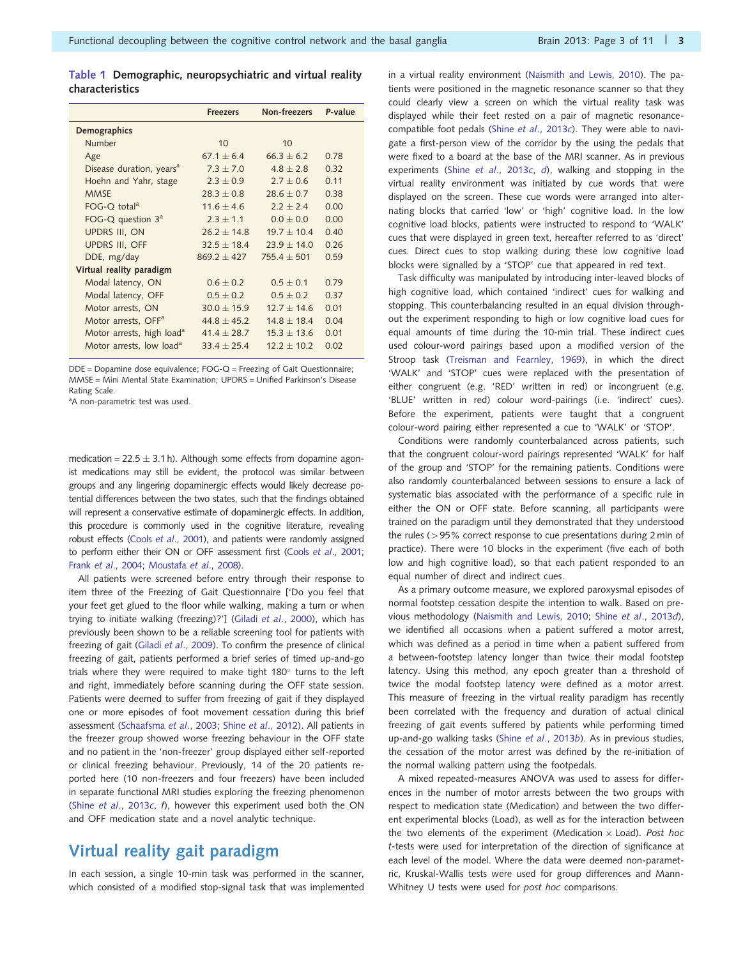<span id="page-2-0"></span>

|                        | Table 1 Demographic, neuropsychiatric and virtual reality |  |  |  |  |
|------------------------|-----------------------------------------------------------|--|--|--|--|
| <b>characteristics</b> |                                                           |  |  |  |  |

|                                       | <b>Freezers</b> | Non-freezers  | P-value |
|---------------------------------------|-----------------|---------------|---------|
| Demographics                          |                 |               |         |
| Number                                | 10              | 10            |         |
| Age                                   | $67.1 + 6.4$    | $66.3 + 6.2$  | 0.78    |
| Disease duration, years <sup>a</sup>  | $7.3 + 7.0$     | $4.8 + 2.8$   | 0.32    |
| Hoehn and Yahr, stage                 | $2.3 \pm 0.9$   | $2.7 + 0.6$   | 0.11    |
| <b>MMSE</b>                           | $28.3 + 0.8$    | $28.6 + 0.7$  | 0.38    |
| $FOG-O$ total <sup>a</sup>            | $11.6 + 4.6$    | $2.2 + 2.4$   | 0.00    |
| FOG-Q question $3^a$                  | $2.3 + 1.1$     | $0.0 + 0.0$   | 0.00    |
| <b>UPDRS III, ON</b>                  | $26.2 + 14.8$   | $19.7 + 10.4$ | 0.40    |
| <b>UPDRS III, OFF</b>                 | $32.5 + 18.4$   | $23.9 + 14.0$ | 0.26    |
| DDE, mg/day                           | $869.2 + 427$   | $755.4 + 501$ | 0.59    |
| Virtual reality paradigm              |                 |               |         |
| Modal latency, ON                     | $0.6 + 0.2$     | $0.5 + 0.1$   | 0.79    |
| Modal latency, OFF                    | $0.5 \pm 0.2$   | $0.5 + 0.2$   | 0.37    |
| Motor arrests, ON                     | $30.0 + 15.9$   | $12.7 + 14.6$ | 0.01    |
| Motor arrests, OFF <sup>a</sup>       | $44.8 + 45.2$   | $148 + 184$   | 0.04    |
| Motor arrests, high load <sup>a</sup> | $41.4 + 28.7$   | $15.3 + 13.6$ | 0.01    |
| Motor arrests, low load <sup>a</sup>  | $33.4 + 25.4$   | $122 + 102$   | 0.02    |

DDE = Dopamine dose equivalence; FOG-Q = Freezing of Gait Questionnaire; MMSE = Mini Mental State Examination; UPDRS = Unified Parkinson's Disease Rating Scale.

<sup>a</sup>A non-parametric test was used.

medication = 22.5  $\pm$  3.1 h). Although some effects from dopamine agonist medications may still be evident, the protocol was similar between groups and any lingering dopaminergic effects would likely decrease potential differences between the two states, such that the findings obtained will represent a conservative estimate of dopaminergic effects. In addition, this procedure is commonly used in the cognitive literature, revealing robust effects (Cools et al[., 2001\)](#page-9-0), and patients were randomly assigned to perform either their ON or OFF assessment first (Cools et al[., 2001](#page-9-0); Frank et al[., 2004](#page-10-0); [Moustafa](#page-10-0) et al., 2008).

All patients were screened before entry through their response to item three of the Freezing of Gait Questionnaire ['Do you feel that your feet get glued to the floor while walking, making a turn or when trying to initiate walking (freezing)?'] (Giladi et al[., 2000](#page-10-0)), which has previously been shown to be a reliable screening tool for patients with freezing of gait (Giladi et al[., 2009\)](#page-10-0). To confirm the presence of clinical freezing of gait, patients performed a brief series of timed up-and-go trials where they were required to make tight 180 $^{\circ}$  turns to the left and right, immediately before scanning during the OFF state session. Patients were deemed to suffer from freezing of gait if they displayed one or more episodes of foot movement cessation during this brief assessment ([Schaafsma](#page-10-0) et al., 2003; Shine et al[., 2012\)](#page-10-0). All patients in the freezer group showed worse freezing behaviour in the OFF state and no patient in the 'non-freezer' group displayed either self-reported or clinical freezing behaviour. Previously, 14 of the 20 patients reported here (10 non-freezers and four freezers) have been included in separate functional MRI studies exploring the freezing phenomenon (Shine et al[., 2013](#page-10-0)c, f), however this experiment used both the ON and OFF medication state and a novel analytic technique.

### Virtual reality gait paradigm

In each session, a single 10-min task was performed in the scanner, which consisted of a modified stop-signal task that was implemented in a virtual reality environment [\(Naismith and Lewis, 2010](#page-10-0)). The patients were positioned in the magnetic resonance scanner so that they could clearly view a screen on which the virtual reality task was displayed while their feet rested on a pair of magnetic resonancecompatible foot pedals (Shine et al[., 2013](#page-10-0)c). They were able to navigate a first-person view of the corridor by the using the pedals that were fixed to a board at the base of the MRI scanner. As in previous experiments (Shine et al[., 2013](#page-10-0)c,  $d$ ), walking and stopping in the virtual reality environment was initiated by cue words that were displayed on the screen. These cue words were arranged into alternating blocks that carried 'low' or 'high' cognitive load. In the low cognitive load blocks, patients were instructed to respond to 'WALK' cues that were displayed in green text, hereafter referred to as 'direct' cues. Direct cues to stop walking during these low cognitive load blocks were signalled by a 'STOP' cue that appeared in red text.

Task difficulty was manipulated by introducing inter-leaved blocks of high cognitive load, which contained 'indirect' cues for walking and stopping. This counterbalancing resulted in an equal division throughout the experiment responding to high or low cognitive load cues for equal amounts of time during the 10-min trial. These indirect cues used colour-word pairings based upon a modified version of the Stroop task ([Treisman and Fearnley, 1969](#page-10-0)), in which the direct 'WALK' and 'STOP' cues were replaced with the presentation of either congruent (e.g. 'RED' written in red) or incongruent (e.g. 'BLUE' written in red) colour word-pairings (i.e. 'indirect' cues). Before the experiment, patients were taught that a congruent colour-word pairing either represented a cue to 'WALK' or 'STOP'.

Conditions were randomly counterbalanced across patients, such that the congruent colour-word pairings represented 'WALK' for half of the group and 'STOP' for the remaining patients. Conditions were also randomly counterbalanced between sessions to ensure a lack of systematic bias associated with the performance of a specific rule in either the ON or OFF state. Before scanning, all participants were trained on the paradigm until they demonstrated that they understood the rules ( $>95\%$  correct response to cue presentations during 2 min of practice). There were 10 blocks in the experiment (five each of both low and high cognitive load), so that each patient responded to an equal number of direct and indirect cues.

As a primary outcome measure, we explored paroxysmal episodes of normal footstep cessation despite the intention to walk. Based on previous methodology [\(Naismith and Lewis, 2010](#page-10-0); Shine et al[., 2013](#page-10-0)d), we identified all occasions when a patient suffered a motor arrest, which was defined as a period in time when a patient suffered from a between-footstep latency longer than twice their modal footstep latency. Using this method, any epoch greater than a threshold of twice the modal footstep latency were defined as a motor arrest. This measure of freezing in the virtual reality paradigm has recently been correlated with the frequency and duration of actual clinical freezing of gait events suffered by patients while performing timed up-and-go walking tasks (Shine et al[., 2013](#page-10-0)b). As in previous studies, the cessation of the motor arrest was defined by the re-initiation of the normal walking pattern using the footpedals.

A mixed repeated-measures ANOVA was used to assess for differences in the number of motor arrests between the two groups with respect to medication state (Medication) and between the two different experimental blocks (Load), as well as for the interaction between the two elements of the experiment (Medication  $\times$  Load). Post hoc t-tests were used for interpretation of the direction of significance at each level of the model. Where the data were deemed non-parametric, Kruskal-Wallis tests were used for group differences and Mann-Whitney U tests were used for post hoc comparisons.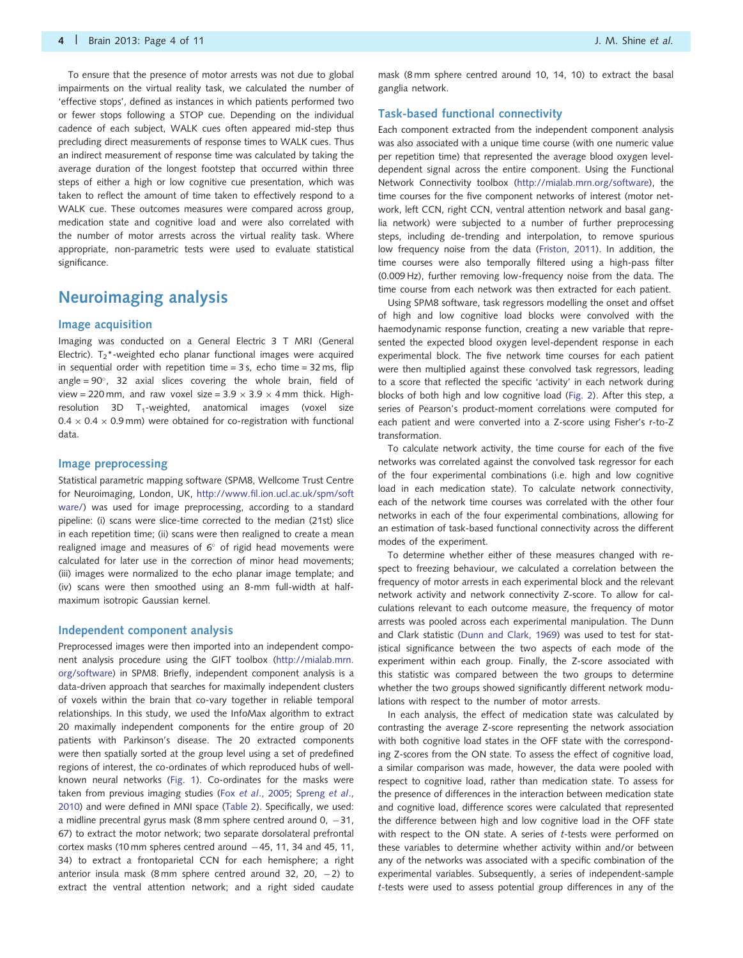To ensure that the presence of motor arrests was not due to global impairments on the virtual reality task, we calculated the number of 'effective stops', defined as instances in which patients performed two or fewer stops following a STOP cue. Depending on the individual cadence of each subject, WALK cues often appeared mid-step thus precluding direct measurements of response times to WALK cues. Thus an indirect measurement of response time was calculated by taking the average duration of the longest footstep that occurred within three steps of either a high or low cognitive cue presentation, which was taken to reflect the amount of time taken to effectively respond to a WALK cue. These outcomes measures were compared across group, medication state and cognitive load and were also correlated with the number of motor arrests across the virtual reality task. Where appropriate, non-parametric tests were used to evaluate statistical significance.

### Neuroimaging analysis

#### Image acquisition

Imaging was conducted on a General Electric 3 T MRI (General Electric).  $T_2^*$ -weighted echo planar functional images were acquired in sequential order with repetition time  $= 3$  s, echo time  $= 32$  ms, flip angle =  $90^{\circ}$ , 32 axial slices covering the whole brain, field of view = 220 mm, and raw voxel size =  $3.9 \times 3.9 \times 4$  mm thick. Highresolution 3D  $T_1$ -weighted, anatomical images (voxel size  $0.4 \times 0.4 \times 0.9$  mm) were obtained for co-registration with functional data.

#### Image preprocessing

Statistical parametric mapping software (SPM8, Wellcome Trust Centre for Neuroimaging, London, UK, [http://www.fil.ion.ucl.ac.uk/spm/soft](http://www.fil.ion.ucl.ac.uk/spm/software/) [ware/\)](http://www.fil.ion.ucl.ac.uk/spm/software/) was used for image preprocessing, according to a standard pipeline: (i) scans were slice-time corrected to the median (21st) slice in each repetition time; (ii) scans were then realigned to create a mean realigned image and measures of  $6^{\circ}$  of rigid head movements were calculated for later use in the correction of minor head movements; (iii) images were normalized to the echo planar image template; and (iv) scans were then smoothed using an 8-mm full-width at halfmaximum isotropic Gaussian kernel.

#### Independent component analysis

Preprocessed images were then imported into an independent component analysis procedure using the GIFT toolbox ([http://mialab.mrn.](http://mialab.mrn.org/software) [org/software\)](http://mialab.mrn.org/software) in SPM8. Briefly, independent component analysis is a data-driven approach that searches for maximally independent clusters of voxels within the brain that co-vary together in reliable temporal relationships. In this study, we used the InfoMax algorithm to extract 20 maximally independent components for the entire group of 20 patients with Parkinson's disease. The 20 extracted components were then spatially sorted at the group level using a set of predefined regions of interest, the co-ordinates of which reproduced hubs of wellknown neural networks ([Fig. 1\)](#page-4-0). Co-ordinates for the masks were taken from previous imaging studies (Fox et al[., 2005;](#page-10-0) [Spreng](#page-10-0) et al., [2010\)](#page-10-0) and were defined in MNI space ([Table 2](#page-4-0)). Specifically, we used: a midline precentral gyrus mask (8 mm sphere centred around  $0, -31,$ 67) to extract the motor network; two separate dorsolateral prefrontal cortex masks (10 mm spheres centred around  $-45$ , 11, 34 and 45, 11, 34) to extract a frontoparietal CCN for each hemisphere; a right anterior insula mask (8 mm sphere centred around 32, 20,  $-2$ ) to extract the ventral attention network; and a right sided caudate

mask (8 mm sphere centred around 10, 14, 10) to extract the basal ganglia network.

#### Task-based functional connectivity

Each component extracted from the independent component analysis was also associated with a unique time course (with one numeric value per repetition time) that represented the average blood oxygen leveldependent signal across the entire component. Using the Functional Network Connectivity toolbox ([http://mialab.mrn.org/software\)](http://mialab.mrn.org/software), the time courses for the five component networks of interest (motor network, left CCN, right CCN, ventral attention network and basal ganglia network) were subjected to a number of further preprocessing steps, including de-trending and interpolation, to remove spurious low frequency noise from the data ([Friston, 2011\)](#page-10-0). In addition, the time courses were also temporally filtered using a high-pass filter (0.009 Hz), further removing low-frequency noise from the data. The time course from each network was then extracted for each patient.

Using SPM8 software, task regressors modelling the onset and offset of high and low cognitive load blocks were convolved with the haemodynamic response function, creating a new variable that represented the expected blood oxygen level-dependent response in each experimental block. The five network time courses for each patient were then multiplied against these convolved task regressors, leading to a score that reflected the specific 'activity' in each network during blocks of both high and low cognitive load [\(Fig. 2](#page-5-0)). After this step, a series of Pearson's product-moment correlations were computed for each patient and were converted into a Z-score using Fisher's r-to-Z transformation.

To calculate network activity, the time course for each of the five networks was correlated against the convolved task regressor for each of the four experimental combinations (i.e. high and low cognitive load in each medication state). To calculate network connectivity, each of the network time courses was correlated with the other four networks in each of the four experimental combinations, allowing for an estimation of task-based functional connectivity across the different modes of the experiment.

To determine whether either of these measures changed with respect to freezing behaviour, we calculated a correlation between the frequency of motor arrests in each experimental block and the relevant network activity and network connectivity Z-score. To allow for calculations relevant to each outcome measure, the frequency of motor arrests was pooled across each experimental manipulation. The Dunn and Clark statistic [\(Dunn and Clark, 1969\)](#page-9-0) was used to test for statistical significance between the two aspects of each mode of the experiment within each group. Finally, the Z-score associated with this statistic was compared between the two groups to determine whether the two groups showed significantly different network modulations with respect to the number of motor arrests.

In each analysis, the effect of medication state was calculated by contrasting the average Z-score representing the network association with both cognitive load states in the OFF state with the corresponding Z-scores from the ON state. To assess the effect of cognitive load, a similar comparison was made, however, the data were pooled with respect to cognitive load, rather than medication state. To assess for the presence of differences in the interaction between medication state and cognitive load, difference scores were calculated that represented the difference between high and low cognitive load in the OFF state with respect to the ON state. A series of t-tests were performed on these variables to determine whether activity within and/or between any of the networks was associated with a specific combination of the experimental variables. Subsequently, a series of independent-sample t-tests were used to assess potential group differences in any of the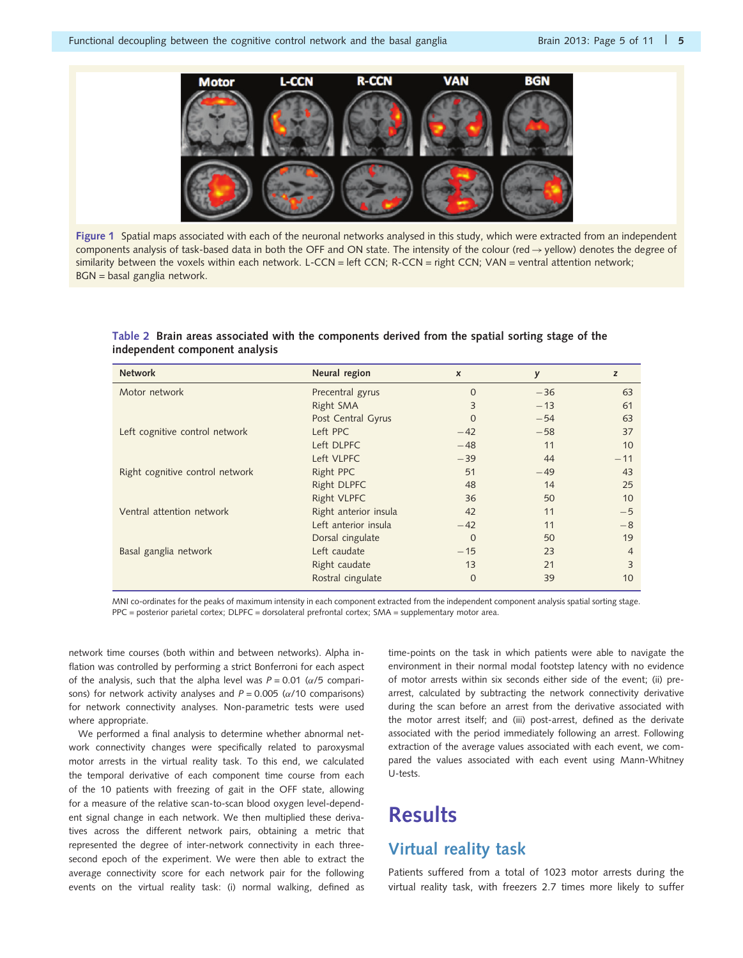<span id="page-4-0"></span>

Figure 1 Spatial maps associated with each of the neuronal networks analysed in this study, which were extracted from an independent components analysis of task-based data in both the OFF and ON state. The intensity of the colour (red  $\rightarrow$  yellow) denotes the degree of similarity between the voxels within each network. L-CCN = left CCN; R-CCN = right CCN; VAN = ventral attention network; BGN = basal ganglia network.

Table 2 Brain areas associated with the components derived from the spatial sorting stage of the independent component analysis

| $\boldsymbol{x}$ | y                                                                                                                                                                                                                                                                                                | z               |
|------------------|--------------------------------------------------------------------------------------------------------------------------------------------------------------------------------------------------------------------------------------------------------------------------------------------------|-----------------|
| $\Omega$         | $-36$                                                                                                                                                                                                                                                                                            | 63              |
| 3                | $-13$                                                                                                                                                                                                                                                                                            | 61              |
| 0                | $-54$                                                                                                                                                                                                                                                                                            | 63              |
| $-42$            | $-58$                                                                                                                                                                                                                                                                                            | 37              |
| $-48$            | 11                                                                                                                                                                                                                                                                                               | 10              |
| $-39$            | 44                                                                                                                                                                                                                                                                                               | $-11$           |
| 51               | $-49$                                                                                                                                                                                                                                                                                            | 43              |
| 48               | 14                                                                                                                                                                                                                                                                                               | 25              |
| 36               | 50                                                                                                                                                                                                                                                                                               | 10              |
| 42               | 11                                                                                                                                                                                                                                                                                               | $-5$            |
| $-42$            | 11                                                                                                                                                                                                                                                                                               | $-8$            |
| $\Omega$         | 50                                                                                                                                                                                                                                                                                               | 19              |
| $-15$            | 23                                                                                                                                                                                                                                                                                               | $\overline{4}$  |
| 13               | 21                                                                                                                                                                                                                                                                                               | 3               |
| $\Omega$         | 39                                                                                                                                                                                                                                                                                               | 10 <sup>°</sup> |
|                  | Neural region<br>Precentral gyrus<br>Right SMA<br>Post Central Gyrus<br>Left PPC<br>Left DLPFC<br>Left VLPFC<br>Right PPC<br><b>Right DLPFC</b><br><b>Right VLPFC</b><br>Right anterior insula<br>Left anterior insula<br>Dorsal cingulate<br>Left caudate<br>Right caudate<br>Rostral cingulate |                 |

MNI co-ordinates for the peaks of maximum intensity in each component extracted from the independent component analysis spatial sorting stage. PPC = posterior parietal cortex; DLPFC = dorsolateral prefrontal cortex; SMA = supplementary motor area.

network time courses (both within and between networks). Alpha inflation was controlled by performing a strict Bonferroni for each aspect of the analysis, such that the alpha level was  $P = 0.01$  ( $\alpha/5$  comparisons) for network activity analyses and  $P = 0.005$  ( $\alpha/10$  comparisons) for network connectivity analyses. Non-parametric tests were used where appropriate.

We performed a final analysis to determine whether abnormal network connectivity changes were specifically related to paroxysmal motor arrests in the virtual reality task. To this end, we calculated the temporal derivative of each component time course from each of the 10 patients with freezing of gait in the OFF state, allowing for a measure of the relative scan-to-scan blood oxygen level-dependent signal change in each network. We then multiplied these derivatives across the different network pairs, obtaining a metric that represented the degree of inter-network connectivity in each threesecond epoch of the experiment. We were then able to extract the average connectivity score for each network pair for the following events on the virtual reality task: (i) normal walking, defined as time-points on the task in which patients were able to navigate the environment in their normal modal footstep latency with no evidence of motor arrests within six seconds either side of the event; (ii) prearrest, calculated by subtracting the network connectivity derivative during the scan before an arrest from the derivative associated with the motor arrest itself; and (iii) post-arrest, defined as the derivate associated with the period immediately following an arrest. Following extraction of the average values associated with each event, we compared the values associated with each event using Mann-Whitney U-tests.

## **Results**

### Virtual reality task

Patients suffered from a total of 1023 motor arrests during the virtual reality task, with freezers 2.7 times more likely to suffer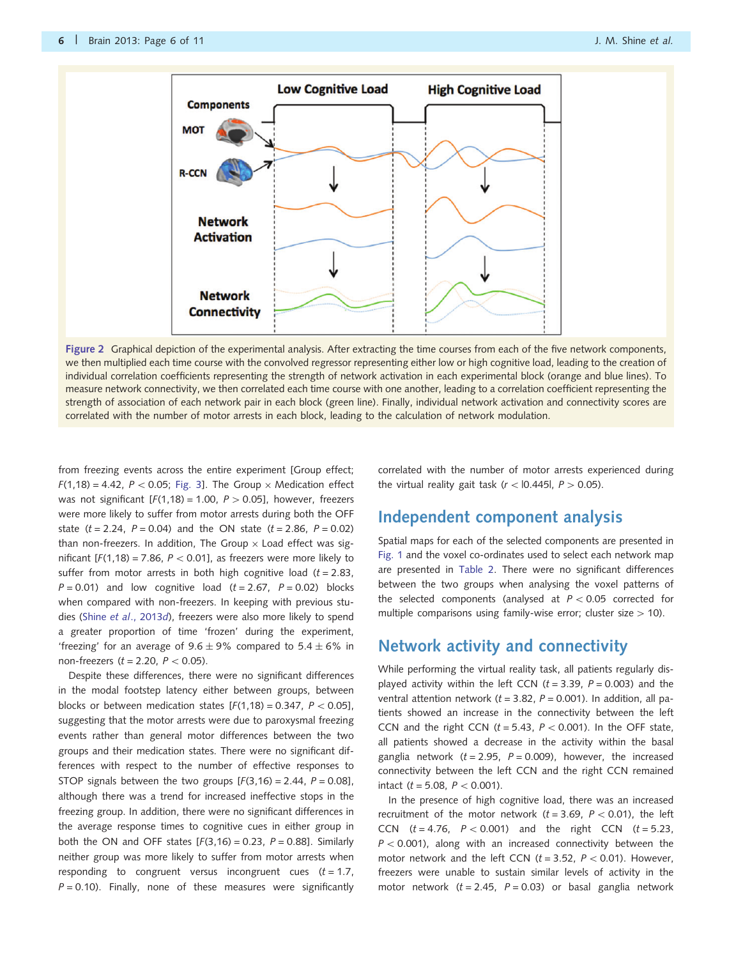<span id="page-5-0"></span>

Figure 2 Graphical depiction of the experimental analysis. After extracting the time courses from each of the five network components, we then multiplied each time course with the convolved regressor representing either low or high cognitive load, leading to the creation of individual correlation coefficients representing the strength of network activation in each experimental block (orange and blue lines). To measure network connectivity, we then correlated each time course with one another, leading to a correlation coefficient representing the strength of association of each network pair in each block (green line). Finally, individual network activation and connectivity scores are correlated with the number of motor arrests in each block, leading to the calculation of network modulation.

from freezing events across the entire experiment [Group effect;  $F(1,18) = 4.42$ ,  $P < 0.05$ ; [Fig. 3](#page-6-0)]. The Group  $\times$  Medication effect was not significant  $[F(1,18) = 1.00, P > 0.05]$ , however, freezers were more likely to suffer from motor arrests during both the OFF state ( $t = 2.24$ ,  $P = 0.04$ ) and the ON state ( $t = 2.86$ ,  $P = 0.02$ ) than non-freezers. In addition, The Group  $\times$  Load effect was significant  $[F(1,18) = 7.86, P < 0.01]$ , as freezers were more likely to suffer from motor arrests in both high cognitive load  $(t = 2.83)$ ,  $P = 0.01$ ) and low cognitive load ( $t = 2.67$ ,  $P = 0.02$ ) blocks when compared with non-freezers. In keeping with previous studies (Shine et al[., 2013](#page-10-0)d), freezers were also more likely to spend a greater proportion of time 'frozen' during the experiment, 'freezing' for an average of 9.6  $\pm$  9% compared to 5.4  $\pm$  6% in non-freezers ( $t = 2.20$ ,  $P < 0.05$ ).

Despite these differences, there were no significant differences in the modal footstep latency either between groups, between blocks or between medication states  $[F(1,18) = 0.347, P < 0.05]$ , suggesting that the motor arrests were due to paroxysmal freezing events rather than general motor differences between the two groups and their medication states. There were no significant differences with respect to the number of effective responses to STOP signals between the two groups  $[F(3,16) = 2.44, P = 0.08]$ , although there was a trend for increased ineffective stops in the freezing group. In addition, there were no significant differences in the average response times to cognitive cues in either group in both the ON and OFF states  $[F(3,16) = 0.23, P = 0.88]$ . Similarly neither group was more likely to suffer from motor arrests when responding to congruent versus incongruent cues  $(t = 1.7)$ ,  $P = 0.10$ ). Finally, none of these measures were significantly correlated with the number of motor arrests experienced during the virtual reality gait task ( $r$  < 10.445|, P > 0.05).

### Independent component analysis

Spatial maps for each of the selected components are presented in [Fig. 1](#page-4-0) and the voxel co-ordinates used to select each network map are presented in [Table 2.](#page-4-0) There were no significant differences between the two groups when analysing the voxel patterns of the selected components (analysed at  $P < 0.05$  corrected for multiple comparisons using family-wise error; cluster size  $> 10$ ).

### Network activity and connectivity

While performing the virtual reality task, all patients regularly displayed activity within the left CCN  $(t = 3.39, P = 0.003)$  and the ventral attention network ( $t = 3.82$ ,  $P = 0.001$ ). In addition, all patients showed an increase in the connectivity between the left CCN and the right CCN ( $t = 5.43$ ,  $P < 0.001$ ). In the OFF state, all patients showed a decrease in the activity within the basal ganglia network  $(t = 2.95, P = 0.009)$ , however, the increased connectivity between the left CCN and the right CCN remained intact ( $t = 5.08$ ,  $P < 0.001$ ).

In the presence of high cognitive load, there was an increased recruitment of the motor network ( $t = 3.69$ ,  $P < 0.01$ ), the left CCN  $(t = 4.76, P < 0.001)$  and the right CCN  $(t = 5.23,$  $P < 0.001$ ), along with an increased connectivity between the motor network and the left CCN ( $t = 3.52$ ,  $P < 0.01$ ). However, freezers were unable to sustain similar levels of activity in the motor network ( $t = 2.45$ ,  $P = 0.03$ ) or basal ganglia network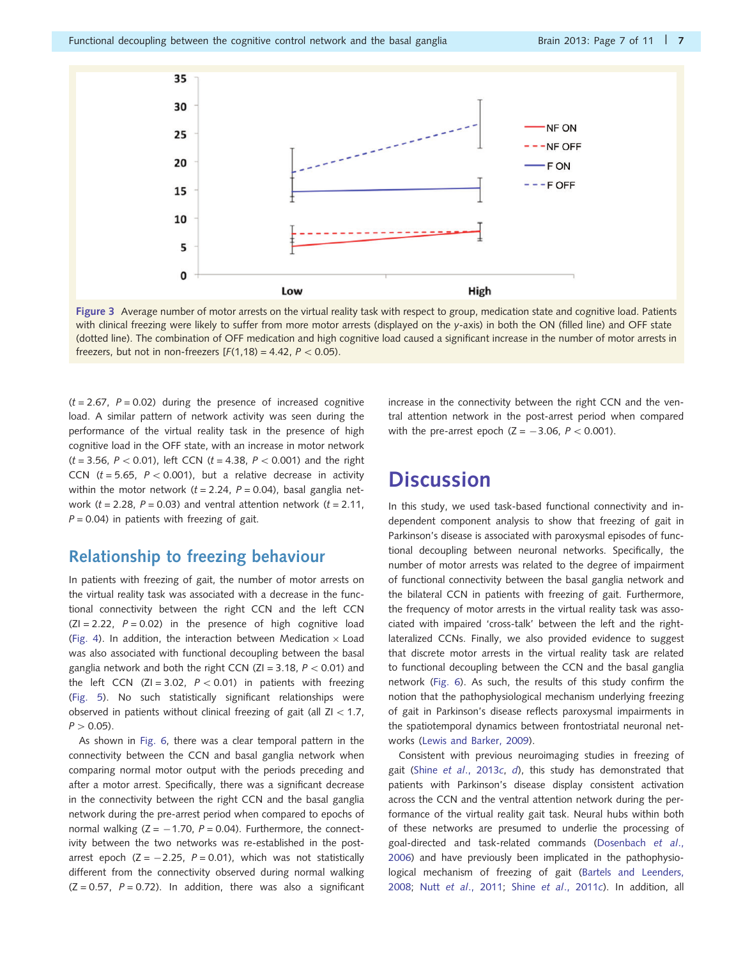<span id="page-6-0"></span>

Figure 3 Average number of motor arrests on the virtual reality task with respect to group, medication state and cognitive load. Patients with clinical freezing were likely to suffer from more motor arrests (displayed on the y-axis) in both the ON (filled line) and OFF state (dotted line). The combination of OFF medication and high cognitive load caused a significant increase in the number of motor arrests in freezers, but not in non-freezers  $[F(1,18) = 4.42, P < 0.05)$ .

 $(t = 2.67, P = 0.02)$  during the presence of increased cognitive load. A similar pattern of network activity was seen during the performance of the virtual reality task in the presence of high cognitive load in the OFF state, with an increase in motor network  $(t = 3.56, P < 0.01)$ , left CCN  $(t = 4.38, P < 0.001)$  and the right CCN ( $t = 5.65$ ,  $P < 0.001$ ), but a relative decrease in activity within the motor network  $(t = 2.24, P = 0.04)$ , basal ganglia network ( $t = 2.28$ ,  $P = 0.03$ ) and ventral attention network ( $t = 2.11$ ,  $P = 0.04$ ) in patients with freezing of gait.

### Relationship to freezing behaviour

In patients with freezing of gait, the number of motor arrests on the virtual reality task was associated with a decrease in the functional connectivity between the right CCN and the left CCN  $(ZI = 2.22, P = 0.02)$  in the presence of high cognitive load ([Fig. 4](#page-7-0)). In addition, the interaction between Medication  $\times$  Load was also associated with functional decoupling between the basal ganglia network and both the right CCN (ZI = 3.18,  $P < 0.01$ ) and the left CCN (ZI = 3.02,  $P < 0.01$ ) in patients with freezing ([Fig. 5\)](#page-7-0). No such statistically significant relationships were observed in patients without clinical freezing of gait (all  $ZI < 1.7$ ,  $P > 0.05$ ).

As shown in [Fig. 6](#page-8-0), there was a clear temporal pattern in the connectivity between the CCN and basal ganglia network when comparing normal motor output with the periods preceding and after a motor arrest. Specifically, there was a significant decrease in the connectivity between the right CCN and the basal ganglia network during the pre-arrest period when compared to epochs of normal walking  $(Z = -1.70, P = 0.04)$ . Furthermore, the connectivity between the two networks was re-established in the postarrest epoch  $(Z = -2.25, P = 0.01)$ , which was not statistically different from the connectivity observed during normal walking  $(Z = 0.57, P = 0.72)$ . In addition, there was also a significant increase in the connectivity between the right CCN and the ventral attention network in the post-arrest period when compared with the pre-arrest epoch  $(Z = -3.06, P < 0.001)$ .

## **Discussion**

In this study, we used task-based functional connectivity and independent component analysis to show that freezing of gait in Parkinson's disease is associated with paroxysmal episodes of functional decoupling between neuronal networks. Specifically, the number of motor arrests was related to the degree of impairment of functional connectivity between the basal ganglia network and the bilateral CCN in patients with freezing of gait. Furthermore, the frequency of motor arrests in the virtual reality task was associated with impaired 'cross-talk' between the left and the rightlateralized CCNs. Finally, we also provided evidence to suggest that discrete motor arrests in the virtual reality task are related to functional decoupling between the CCN and the basal ganglia network ([Fig. 6\)](#page-8-0). As such, the results of this study confirm the notion that the pathophysiological mechanism underlying freezing of gait in Parkinson's disease reflects paroxysmal impairments in the spatiotemporal dynamics between frontostriatal neuronal networks [\(Lewis and Barker, 2009](#page-10-0)).

Consistent with previous neuroimaging studies in freezing of gait (Shine et al[., 2013](#page-10-0)c, [d](#page-10-0)), this study has demonstrated that patients with Parkinson's disease display consistent activation across the CCN and the ventral attention network during the performance of the virtual reality gait task. Neural hubs within both of these networks are presumed to underlie the processing of goal-directed and task-related commands ([Dosenbach](#page-9-0) et al., [2006](#page-9-0)) and have previously been implicated in the pathophysiological mechanism of freezing of gait [\(Bartels and Leenders,](#page-9-0) [2008](#page-9-0); Nutt et al[., 2011;](#page-10-0) Shine et al[., 2011](#page-10-0)c). In addition, all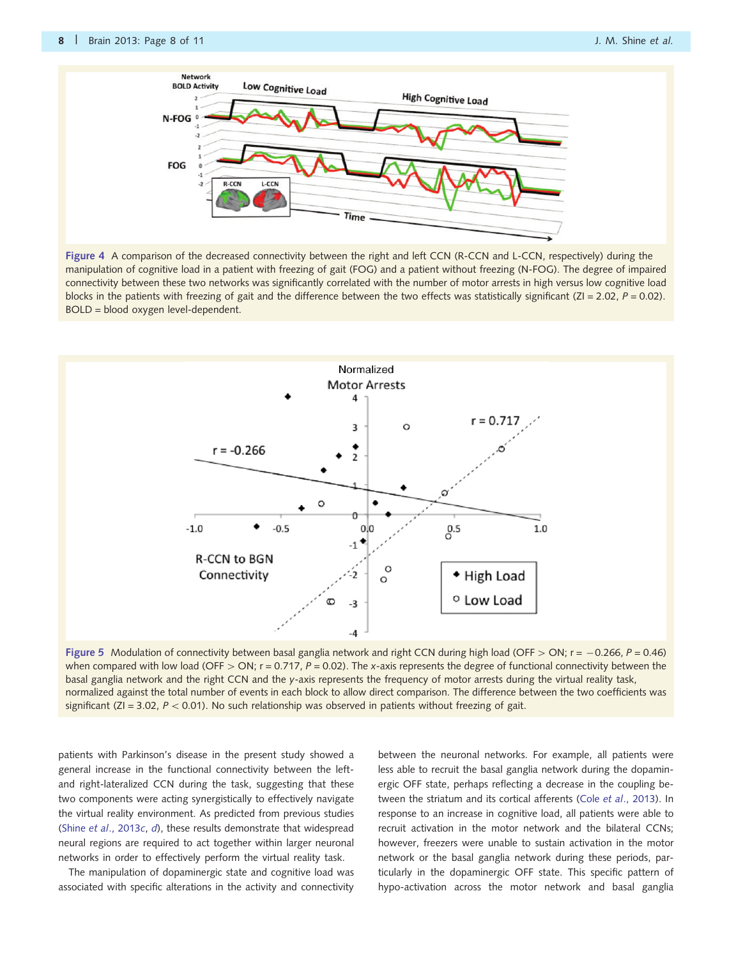<span id="page-7-0"></span>

Figure 4 A comparison of the decreased connectivity between the right and left CCN (R-CCN and L-CCN, respectively) during the manipulation of cognitive load in a patient with freezing of gait (FOG) and a patient without freezing (N-FOG). The degree of impaired connectivity between these two networks was significantly correlated with the number of motor arrests in high versus low cognitive load blocks in the patients with freezing of gait and the difference between the two effects was statistically significant (ZI = 2.02,  $P = 0.02$ ). BOLD = blood oxygen level-dependent.



Figure 5 Modulation of connectivity between basal ganglia network and right CCN during high load (OFF > ON; r = -0.266, P = 0.46) when compared with low load (OFF  $>$  ON; r = 0.717, P = 0.02). The x-axis represents the degree of functional connectivity between the basal ganglia network and the right CCN and the y-axis represents the frequency of motor arrests during the virtual reality task, normalized against the total number of events in each block to allow direct comparison. The difference between the two coefficients was significant (ZI = 3.02,  $P < 0.01$ ). No such relationship was observed in patients without freezing of gait.

patients with Parkinson's disease in the present study showed a general increase in the functional connectivity between the leftand right-lateralized CCN during the task, suggesting that these two components were acting synergistically to effectively navigate the virtual reality environment. As predicted from previous studies (Shine et al[., 2013](#page-10-0)c, [d](#page-10-0)), these results demonstrate that widespread neural regions are required to act together within larger neuronal networks in order to effectively perform the virtual reality task.

The manipulation of dopaminergic state and cognitive load was associated with specific alterations in the activity and connectivity

between the neuronal networks. For example, all patients were less able to recruit the basal ganglia network during the dopaminergic OFF state, perhaps reflecting a decrease in the coupling between the striatum and its cortical afferents (Cole et al[., 2013\)](#page-9-0). In response to an increase in cognitive load, all patients were able to recruit activation in the motor network and the bilateral CCNs; however, freezers were unable to sustain activation in the motor network or the basal ganglia network during these periods, particularly in the dopaminergic OFF state. This specific pattern of hypo-activation across the motor network and basal ganglia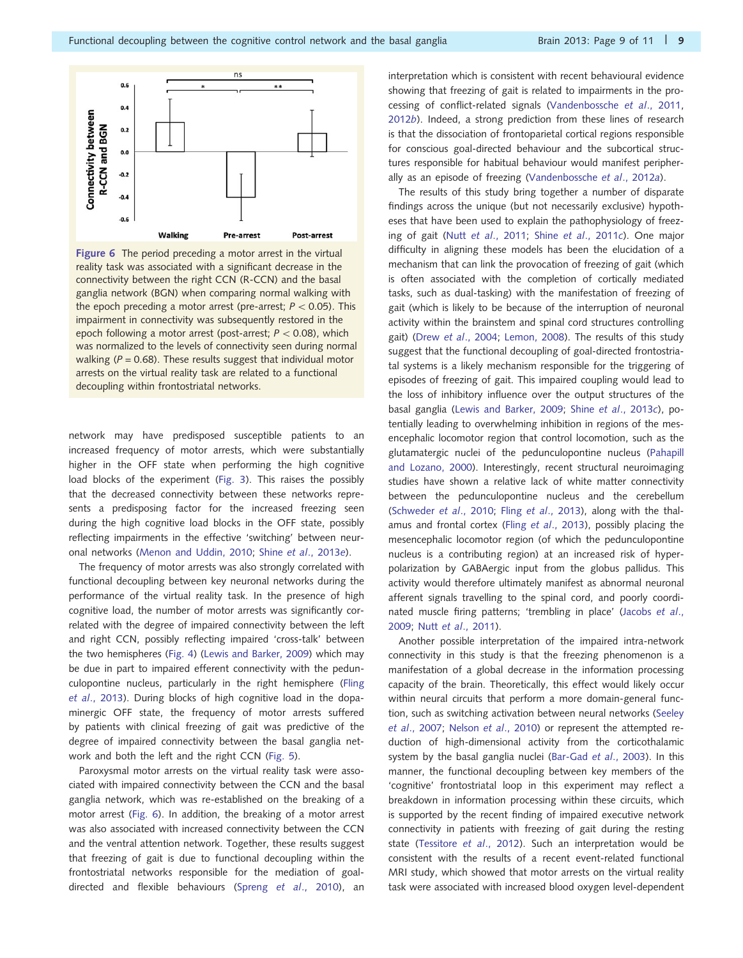<span id="page-8-0"></span>

Figure 6 The period preceding a motor arrest in the virtual reality task was associated with a significant decrease in the connectivity between the right CCN (R-CCN) and the basal ganglia network (BGN) when comparing normal walking with the epoch preceding a motor arrest (pre-arrest;  $P < 0.05$ ). This impairment in connectivity was subsequently restored in the epoch following a motor arrest (post-arrest;  $P < 0.08$ ), which was normalized to the levels of connectivity seen during normal walking ( $P = 0.68$ ). These results suggest that individual motor arrests on the virtual reality task are related to a functional decoupling within frontostriatal networks.

network may have predisposed susceptible patients to an increased frequency of motor arrests, which were substantially higher in the OFF state when performing the high cognitive load blocks of the experiment [\(Fig. 3\)](#page-6-0). This raises the possibly that the decreased connectivity between these networks represents a predisposing factor for the increased freezing seen during the high cognitive load blocks in the OFF state, possibly reflecting impairments in the effective 'switching' between neuronal networks [\(Menon and Uddin, 2010](#page-10-0); Shine et al[., 2013](#page-10-0)e).

The frequency of motor arrests was also strongly correlated with functional decoupling between key neuronal networks during the performance of the virtual reality task. In the presence of high cognitive load, the number of motor arrests was significantly correlated with the degree of impaired connectivity between the left and right CCN, possibly reflecting impaired 'cross-talk' between the two hemispheres [\(Fig. 4\)](#page-7-0) [\(Lewis and Barker, 2009\)](#page-10-0) which may be due in part to impaired efferent connectivity with the pedunculopontine nucleus, particularly in the right hemisphere [\(Fling](#page-10-0) et al[., 2013\)](#page-10-0). During blocks of high cognitive load in the dopaminergic OFF state, the frequency of motor arrests suffered by patients with clinical freezing of gait was predictive of the degree of impaired connectivity between the basal ganglia network and both the left and the right CCN ([Fig. 5\)](#page-7-0).

Paroxysmal motor arrests on the virtual reality task were associated with impaired connectivity between the CCN and the basal ganglia network, which was re-established on the breaking of a motor arrest (Fig. 6). In addition, the breaking of a motor arrest was also associated with increased connectivity between the CCN and the ventral attention network. Together, these results suggest that freezing of gait is due to functional decoupling within the frontostriatal networks responsible for the mediation of goaldirected and flexible behaviours (Spreng et al[., 2010](#page-10-0)), an interpretation which is consistent with recent behavioural evidence showing that freezing of gait is related to impairments in the processing of conflict-related signals ([Vandenbossche](#page-10-0) et al., 2011, [2012](#page-10-0)b). Indeed, a strong prediction from these lines of research is that the dissociation of frontoparietal cortical regions responsible for conscious goal-directed behaviour and the subcortical structures responsible for habitual behaviour would manifest peripherally as an episode of freezing [\(Vandenbossche](#page-10-0) et al., 2012a).

The results of this study bring together a number of disparate findings across the unique (but not necessarily exclusive) hypotheses that have been used to explain the pathophysiology of freezing of gait (Nutt et al[., 2011](#page-10-0); Shine et al[., 2011](#page-10-0)c). One major difficulty in aligning these models has been the elucidation of a mechanism that can link the provocation of freezing of gait (which is often associated with the completion of cortically mediated tasks, such as dual-tasking) with the manifestation of freezing of gait (which is likely to be because of the interruption of neuronal activity within the brainstem and spinal cord structures controlling gait) (Drew et al[., 2004;](#page-9-0) [Lemon, 2008\)](#page-10-0). The results of this study suggest that the functional decoupling of goal-directed frontostriatal systems is a likely mechanism responsible for the triggering of episodes of freezing of gait. This impaired coupling would lead to the loss of inhibitory influence over the output structures of the basal ganglia [\(Lewis and Barker, 2009;](#page-10-0) Shine et al[., 2013](#page-10-0)c), potentially leading to overwhelming inhibition in regions of the mesencephalic locomotor region that control locomotion, such as the glutamatergic nuclei of the pedunculopontine nucleus [\(Pahapill](#page-10-0) [and Lozano, 2000\)](#page-10-0). Interestingly, recent structural neuroimaging studies have shown a relative lack of white matter connectivity between the pedunculopontine nucleus and the cerebellum [\(Schweder](#page-10-0) et al., 2010; Fling et al[., 2013](#page-10-0)), along with the thalamus and frontal cortex (Fling et al[., 2013](#page-10-0)), possibly placing the mesencephalic locomotor region (of which the pedunculopontine nucleus is a contributing region) at an increased risk of hyperpolarization by GABAergic input from the globus pallidus. This activity would therefore ultimately manifest as abnormal neuronal afferent signals travelling to the spinal cord, and poorly coordinated muscle firing patterns; 'trembling in place' [\(Jacobs](#page-10-0) et al., [2009](#page-10-0); Nutt et al[., 2011\)](#page-10-0).

Another possible interpretation of the impaired intra-network connectivity in this study is that the freezing phenomenon is a manifestation of a global decrease in the information processing capacity of the brain. Theoretically, this effect would likely occur within neural circuits that perform a more domain-general function, such as switching activation between neural networks [\(Seeley](#page-10-0) et al[., 2007;](#page-10-0) Nelson et al[., 2010](#page-10-0)) or represent the attempted reduction of high-dimensional activity from the corticothalamic system by the basal ganglia nuclei [\(Bar-Gad](#page-9-0) et al., 2003). In this manner, the functional decoupling between key members of the 'cognitive' frontostriatal loop in this experiment may reflect a breakdown in information processing within these circuits, which is supported by the recent finding of impaired executive network connectivity in patients with freezing of gait during the resting state [\(Tessitore](#page-10-0) et al., 2012). Such an interpretation would be consistent with the results of a recent event-related functional MRI study, which showed that motor arrests on the virtual reality task were associated with increased blood oxygen level-dependent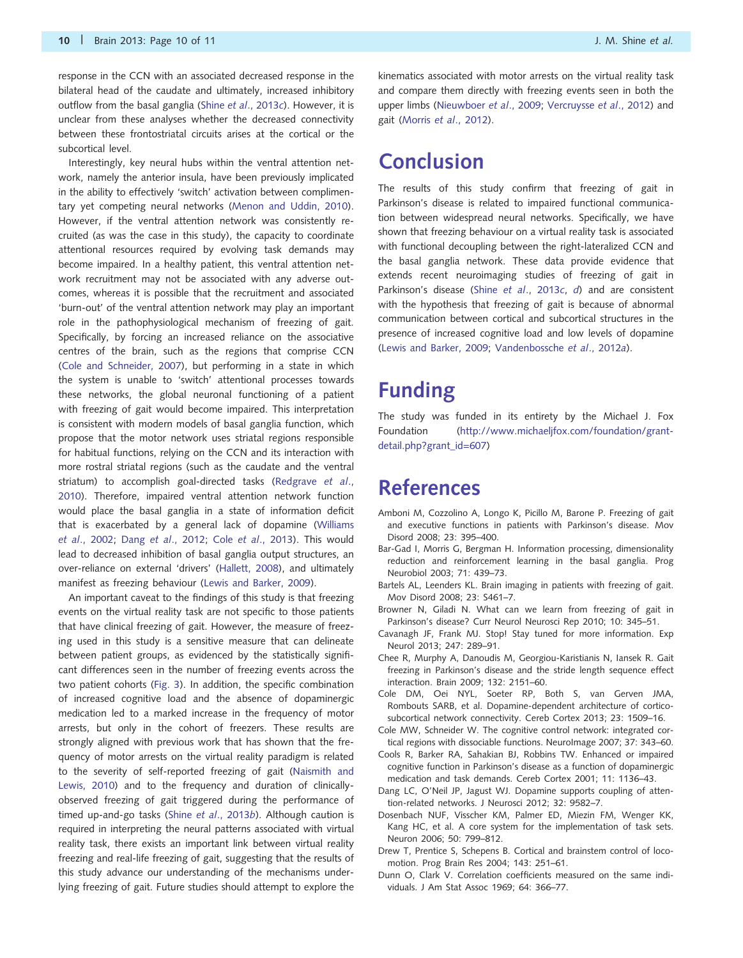<span id="page-9-0"></span>Interestingly, key neural hubs within the ventral attention network, namely the anterior insula, have been previously implicated in the ability to effectively 'switch' activation between complimentary yet competing neural networks ([Menon and Uddin, 2010\)](#page-10-0). However, if the ventral attention network was consistently recruited (as was the case in this study), the capacity to coordinate attentional resources required by evolving task demands may become impaired. In a healthy patient, this ventral attention network recruitment may not be associated with any adverse outcomes, whereas it is possible that the recruitment and associated 'burn-out' of the ventral attention network may play an important role in the pathophysiological mechanism of freezing of gait. Specifically, by forcing an increased reliance on the associative centres of the brain, such as the regions that comprise CCN (Cole and Schneider, 2007), but performing in a state in which the system is unable to 'switch' attentional processes towards these networks, the global neuronal functioning of a patient with freezing of gait would become impaired. This interpretation is consistent with modern models of basal ganglia function, which propose that the motor network uses striatal regions responsible for habitual functions, relying on the CCN and its interaction with more rostral striatal regions (such as the caudate and the ventral striatum) to accomplish goal-directed tasks [\(Redgrave](#page-10-0) et al., [2010\)](#page-10-0). Therefore, impaired ventral attention network function would place the basal ganglia in a state of information deficit that is exacerbated by a general lack of dopamine ([Williams](#page-10-0) et al[., 2002;](#page-10-0) Dang et al., 2012; Cole et al., 2013). This would lead to decreased inhibition of basal ganglia output structures, an over-reliance on external 'drivers' ([Hallett, 2008\)](#page-10-0), and ultimately manifest as freezing behaviour [\(Lewis and Barker, 2009](#page-10-0)).

An important caveat to the findings of this study is that freezing events on the virtual reality task are not specific to those patients that have clinical freezing of gait. However, the measure of freezing used in this study is a sensitive measure that can delineate between patient groups, as evidenced by the statistically significant differences seen in the number of freezing events across the two patient cohorts [\(Fig. 3](#page-6-0)). In addition, the specific combination of increased cognitive load and the absence of dopaminergic medication led to a marked increase in the frequency of motor arrests, but only in the cohort of freezers. These results are strongly aligned with previous work that has shown that the frequency of motor arrests on the virtual reality paradigm is related to the severity of self-reported freezing of gait ([Naismith and](#page-10-0) [Lewis, 2010\)](#page-10-0) and to the frequency and duration of clinicallyobserved freezing of gait triggered during the performance of timed up-and-go tasks (Shine et al[., 2013](#page-10-0)b). Although caution is required in interpreting the neural patterns associated with virtual reality task, there exists an important link between virtual reality freezing and real-life freezing of gait, suggesting that the results of this study advance our understanding of the mechanisms underlying freezing of gait. Future studies should attempt to explore the

kinematics associated with motor arrests on the virtual reality task and compare them directly with freezing events seen in both the upper limbs ([Nieuwboer](#page-10-0) et al., 2009; [Vercruysse](#page-10-0) et al., 2012) and gait (Morris et al[., 2012\)](#page-10-0).

## Conclusion

The results of this study confirm that freezing of gait in Parkinson's disease is related to impaired functional communication between widespread neural networks. Specifically, we have shown that freezing behaviour on a virtual reality task is associated with functional decoupling between the right-lateralized CCN and the basal ganglia network. These data provide evidence that extends recent neuroimaging studies of freezing of gait in Parkinson's disease (Shine et al[., 2013](#page-10-0)c, [d](#page-10-0)) and are consistent with the hypothesis that freezing of gait is because of abnormal communication between cortical and subcortical structures in the presence of increased cognitive load and low levels of dopamine ([Lewis and Barker, 2009;](#page-10-0) [Vandenbossche](#page-10-0) et al., 2012a).

# Funding

The study was funded in its entirety by the Michael J. Fox Foundation ([http://www.michaeljfox.com/foundation/grant](http://www.michaeljfox.com/foundation/grant-detail.php?grant_id=607)[detail.php?grant\\_id=607](http://www.michaeljfox.com/foundation/grant-detail.php?grant_id=607))

## References

- Amboni M, Cozzolino A, Longo K, Picillo M, Barone P. Freezing of gait and executive functions in patients with Parkinson's disease. Mov Disord 2008; 23: 395–400.
- Bar-Gad I, Morris G, Bergman H. Information processing, dimensionality reduction and reinforcement learning in the basal ganglia. Prog Neurobiol 2003; 71: 439–73.
- Bartels AL, Leenders KL. Brain imaging in patients with freezing of gait. Mov Disord 2008; 23: S461–7.
- Browner N, Giladi N. What can we learn from freezing of gait in Parkinson's disease? Curr Neurol Neurosci Rep 2010; 10: 345-51.
- Cavanagh JF, Frank MJ. Stop! Stay tuned for more information. Exp Neurol 2013; 247: 289–91.
- Chee R, Murphy A, Danoudis M, Georgiou-Karistianis N, Iansek R. Gait freezing in Parkinson's disease and the stride length sequence effect interaction. Brain 2009; 132: 2151–60.
- Cole DM, Oei NYL, Soeter RP, Both S, van Gerven JMA, Rombouts SARB, et al. Dopamine-dependent architecture of corticosubcortical network connectivity. Cereb Cortex 2013; 23: 1509–16.
- Cole MW, Schneider W. The cognitive control network: integrated cortical regions with dissociable functions. NeuroImage 2007; 37: 343–60.
- Cools R, Barker RA, Sahakian BJ, Robbins TW. Enhanced or impaired cognitive function in Parkinson's disease as a function of dopaminergic medication and task demands. Cereb Cortex 2001; 11: 1136–43.
- Dang LC, O'Neil JP, Jagust WJ. Dopamine supports coupling of attention-related networks. J Neurosci 2012; 32: 9582–7.
- Dosenbach NUF, Visscher KM, Palmer ED, Miezin FM, Wenger KK, Kang HC, et al. A core system for the implementation of task sets. Neuron 2006; 50: 799–812.
- Drew T, Prentice S, Schepens B. Cortical and brainstem control of locomotion. Prog Brain Res 2004; 143: 251–61.
- Dunn O, Clark V. Correlation coefficients measured on the same individuals. J Am Stat Assoc 1969; 64: 366–77.